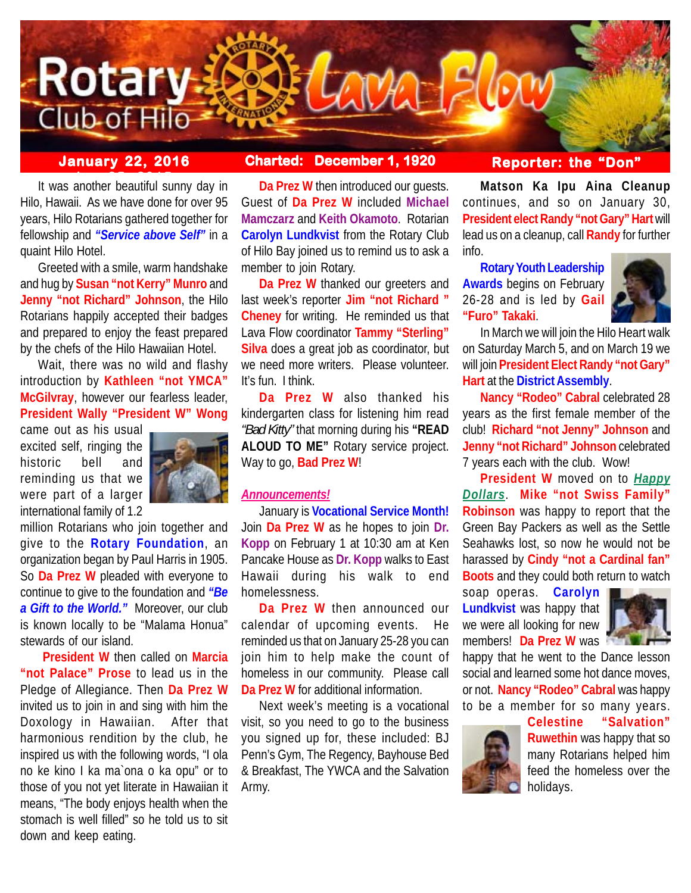

# **January 22, 2016 Charted: December 1, 1920**

It was another beautiful sunny day in Hilo, Hawaii. As we have done for over 95 years, Hilo Rotarians gathered together for fellowship and *"Service above Self"* in a quaint Hilo Hotel.

Greeted with a smile, warm handshake and hug by **Susan "not Kerry" Munro** and **Jenny "not Richard" Johnson**, the Hilo Rotarians happily accepted their badges and prepared to enjoy the feast prepared by the chefs of the Hilo Hawaiian Hotel.

Wait, there was no wild and flashy introduction by **Kathleen "not YMCA" McGilvray**, however our fearless leader, **President Wally "President W" Wong**

came out as his usual excited self, ringing the historic bell and reminding us that we were part of a larger international family of 1.2



million Rotarians who join together and give to the **Rotary Foundation**, an organization began by Paul Harris in 1905. So **Da Prez W** pleaded with everyone to continue to give to the foundation and *"Be a Gift to the World."* Moreover, our club is known locally to be "Malama Honua" stewards of our island.

**President W** then called on **Marcia "not Palace" Prose** to lead us in the Pledge of Allegiance. Then **Da Prez W** invited us to join in and sing with him the Doxology in Hawaiian. After that harmonious rendition by the club, he inspired us with the following words, "I ola no ke kino I ka ma`ona o ka opu" or to those of you not yet literate in Hawaiian it means, "The body enjoys health when the stomach is well filled" so he told us to sit down and keep eating.

**Da Prez W** then introduced our guests. Guest of **Da Prez W** included **Michael Mamczarz** and **Keith Okamoto**. Rotarian **Carolyn Lundkvist** from the Rotary Club of Hilo Bay joined us to remind us to ask a member to join Rotary.

**Da Prez W** thanked our greeters and last week's reporter **Jim "not Richard " Cheney** for writing. He reminded us that Lava Flow coordinator **Tammy "Sterling" Silva** does a great job as coordinator, but we need more writers. Please volunteer. It's fun. I think.

**Da Prez W** also thanked his kindergarten class for listening him read *"Bad Kitty"* that morning during his **"READ ALOUD TO ME"** Rotary service project. Way to go, **Bad Prez W**!

### *Announcements!*

January is **Vocational Service Month!** Join **Da Prez W** as he hopes to join **Dr. Kopp** on February 1 at 10:30 am at Ken Pancake House as **Dr. Kopp** walks to East Hawaii during his walk to end homelessness.

**Da Prez W** then announced our calendar of upcoming events. He reminded us that on January 25-28 you can join him to help make the count of homeless in our community. Please call **Da Prez W** for additional information.

Next week's meeting is a vocational visit, so you need to go to the business you signed up for, these included: BJ Penn's Gym, The Regency, Bayhouse Bed & Breakfast, The YWCA and the Salvation Army.

## **Reporter: the "Don"**

**Matson Ka Ipu Aina Cleanup** continues, and so on January 30, **President elect Randy "not Gary" Hart** will lead us on a cleanup, call **Randy** for further info.

**Rotary Youth Leadership Awards** begins on February 26-28 and is led by **Gail "Furo" Takaki**.



In March we will join the Hilo Heart walk on Saturday March 5, and on March 19 we will join **President Elect Randy "not Gary" Hart** at the **District Assembly**.

**Nancy "Rodeo" Cabral** celebrated 28 years as the first female member of the club! **Richard "not Jenny" Johnson** and **Jenny "not Richard" Johnson** celebrated 7 years each with the club. Wow!

**President W** moved on to *Happy Dollars*. **Mike "not Swiss Family" Robinson** was happy to report that the Green Bay Packers as well as the Settle Seahawks lost, so now he would not be harassed by **Cindy "not a Cardinal fan" Boots** and they could both return to watch

soap operas. **Carolyn Lundkvist** was happy that we were all looking for new members! **Da Prez W** was



happy that he went to the Dance lesson social and learned some hot dance moves, or not. **Nancy "Rodeo" Cabral** was happy to be a member for so many years.



**Celestine "Salvation" Ruwethin** was happy that so many Rotarians helped him feed the homeless over the holidays.